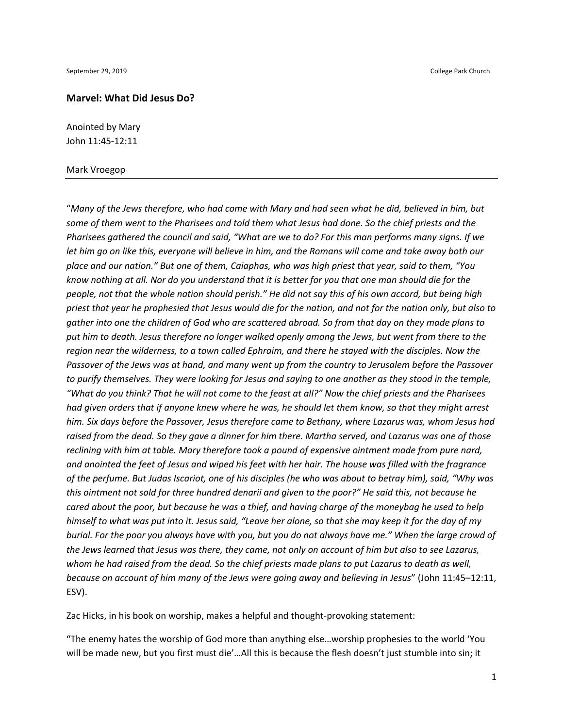#### **Marvel: What Did Jesus Do?**

Anointed by Mary John 11:45-12:11

#### Mark Vroegop

"*Many of the Jews therefore, who had come with Mary and had seen what he did, believed in him, but some of them went to the Pharisees and told them what Jesus had done. So the chief priests and the Pharisees gathered the council and said, "What are we to do? For this man performs many signs. If we let him go on like this, everyone will believe in him, and the Romans will come and take away both our place and our nation." But one of them, Caiaphas, who was high priest that year, said to them, "You know nothing at all. Nor do you understand that it is better for you that one man should die for the people, not that the whole nation should perish." He did not say this of his own accord, but being high priest that year he prophesied that Jesus would die for the nation, and not for the nation only, but also to gather into one the children of God who are scattered abroad. So from that day on they made plans to put him to death. Jesus therefore no longer walked openly among the Jews, but went from there to the region near the wilderness, to a town called Ephraim, and there he stayed with the disciples. Now the Passover of the Jews was at hand, and many went up from the country to Jerusalem before the Passover to purify themselves. They were looking for Jesus and saying to one another as they stood in the temple, "What do you think? That he will not come to the feast at all?" Now the chief priests and the Pharisees had given orders that if anyone knew where he was, he should let them know, so that they might arrest him. Six days before the Passover, Jesus therefore came to Bethany, where Lazarus was, whom Jesus had raised from the dead. So they gave a dinner for him there. Martha served, and Lazarus was one of those reclining with him at table. Mary therefore took a pound of expensive ointment made from pure nard, and anointed the feet of Jesus and wiped his feet with her hair. The house was filled with the fragrance of the perfume. But Judas Iscariot, one of his disciples (he who was about to betray him), said, "Why was this ointment not sold for three hundred denarii and given to the poor?" He said this, not because he cared about the poor, but because he was a thief, and having charge of the moneybag he used to help himself to what was put into it. Jesus said, "Leave her alone, so that she may keep it for the day of my burial. For the poor you always have with you, but you do not always have me." When the large crowd of the Jews learned that Jesus was there, they came, not only on account of him but also to see Lazarus, whom he had raised from the dead. So the chief priests made plans to put Lazarus to death as well, because on account of him many of the Jews were going away and believing in Jesus*" (John 11:45–12:11, ESV).

Zac Hicks, in his book on worship, makes a helpful and thought-provoking statement:

"The enemy hates the worship of God more than anything else…worship prophesies to the world 'You will be made new, but you first must die'…All this is because the flesh doesn't just stumble into sin; it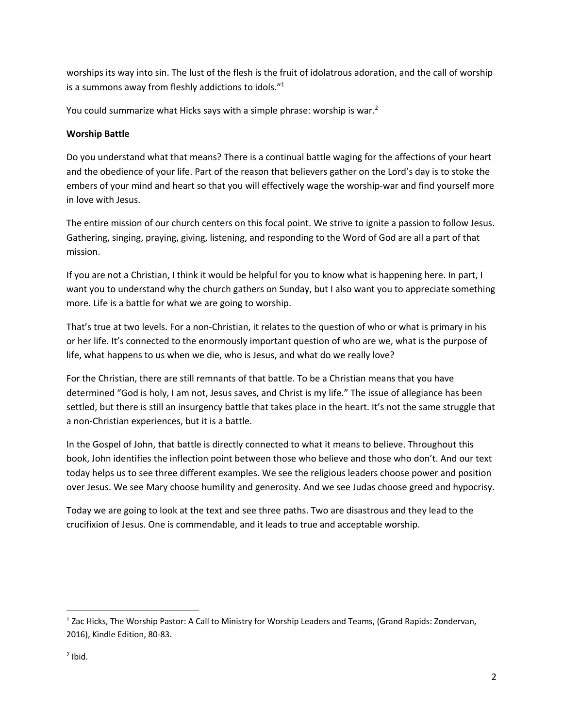worships its way into sin. The lust of the flesh is the fruit of idolatrous adoration, and the call of worship is a summons away from fleshly addictions to idols."1

You could summarize what Hicks says with a simple phrase: worship is war.<sup>2</sup>

# **Worship Battle**

Do you understand what that means? There is a continual battle waging for the affections of your heart and the obedience of your life. Part of the reason that believers gather on the Lord's day is to stoke the embers of your mind and heart so that you will effectively wage the worship-war and find yourself more in love with Jesus.

The entire mission of our church centers on this focal point. We strive to ignite a passion to follow Jesus. Gathering, singing, praying, giving, listening, and responding to the Word of God are all a part of that mission.

If you are not a Christian, I think it would be helpful for you to know what is happening here. In part, I want you to understand why the church gathers on Sunday, but I also want you to appreciate something more. Life is a battle for what we are going to worship.

That's true at two levels. For a non-Christian, it relates to the question of who or what is primary in his or her life. It's connected to the enormously important question of who are we, what is the purpose of life, what happens to us when we die, who is Jesus, and what do we really love?

For the Christian, there are still remnants of that battle. To be a Christian means that you have determined "God is holy, I am not, Jesus saves, and Christ is my life." The issue of allegiance has been settled, but there is still an insurgency battle that takes place in the heart. It's not the same struggle that a non-Christian experiences, but it is a battle.

In the Gospel of John, that battle is directly connected to what it means to believe. Throughout this book, John identifies the inflection point between those who believe and those who don't. And our text today helps us to see three different examples. We see the religious leaders choose power and position over Jesus. We see Mary choose humility and generosity. And we see Judas choose greed and hypocrisy.

Today we are going to look at the text and see three paths. Two are disastrous and they lead to the crucifixion of Jesus. One is commendable, and it leads to true and acceptable worship.

<sup>&</sup>lt;sup>1</sup> Zac Hicks, The Worship Pastor: A Call to Ministry for Worship Leaders and Teams, (Grand Rapids: Zondervan, 2016), Kindle Edition, 80-83.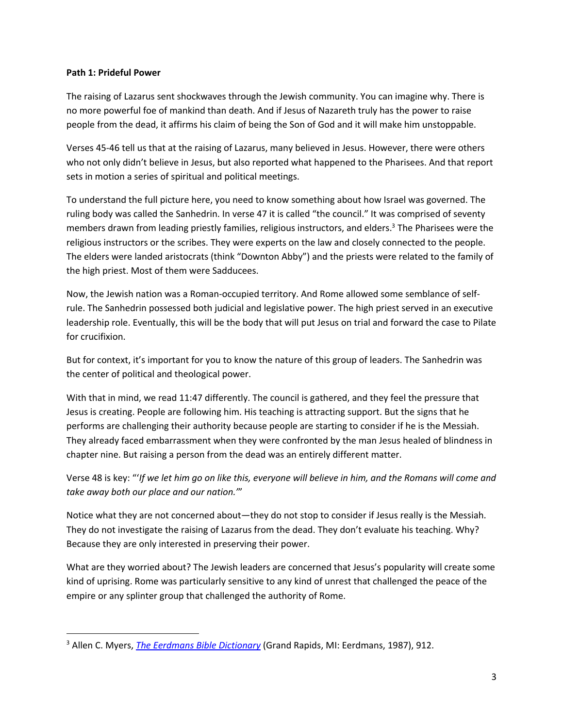## **Path 1: Prideful Power**

The raising of Lazarus sent shockwaves through the Jewish community. You can imagine why. There is no more powerful foe of mankind than death. And if Jesus of Nazareth truly has the power to raise people from the dead, it affirms his claim of being the Son of God and it will make him unstoppable.

Verses 45-46 tell us that at the raising of Lazarus, many believed in Jesus. However, there were others who not only didn't believe in Jesus, but also reported what happened to the Pharisees. And that report sets in motion a series of spiritual and political meetings.

To understand the full picture here, you need to know something about how Israel was governed. The ruling body was called the Sanhedrin. In verse 47 it is called "the council." It was comprised of seventy members drawn from leading priestly families, religious instructors, and elders.<sup>3</sup> The Pharisees were the religious instructors or the scribes. They were experts on the law and closely connected to the people. The elders were landed aristocrats (think "Downton Abby") and the priests were related to the family of the high priest. Most of them were Sadducees.

Now, the Jewish nation was a Roman-occupied territory. And Rome allowed some semblance of selfrule. The Sanhedrin possessed both judicial and legislative power. The high priest served in an executive leadership role. Eventually, this will be the body that will put Jesus on trial and forward the case to Pilate for crucifixion.

But for context, it's important for you to know the nature of this group of leaders. The Sanhedrin was the center of political and theological power.

With that in mind, we read 11:47 differently. The council is gathered, and they feel the pressure that Jesus is creating. People are following him. His teaching is attracting support. But the signs that he performs are challenging their authority because people are starting to consider if he is the Messiah. They already faced embarrassment when they were confronted by the man Jesus healed of blindness in chapter nine. But raising a person from the dead was an entirely different matter.

Verse 48 is key: "'*If we let him go on like this, everyone will believe in him, and the Romans will come and take away both our place and our nation.'*"

Notice what they are not concerned about—they do not stop to consider if Jesus really is the Messiah. They do not investigate the raising of Lazarus from the dead. They don't evaluate his teaching. Why? Because they are only interested in preserving their power.

What are they worried about? The Jewish leaders are concerned that Jesus's popularity will create some kind of uprising. Rome was particularly sensitive to any kind of unrest that challenged the peace of the empire or any splinter group that challenged the authority of Rome.

<sup>3</sup> Allen C. Myers, *The Eerdmans Bible Dictionary* (Grand Rapids, MI: Eerdmans, 1987), 912.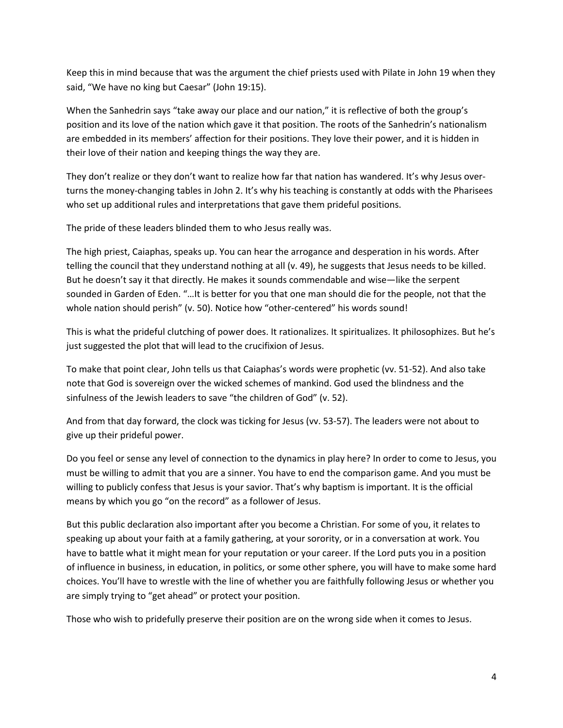Keep this in mind because that was the argument the chief priests used with Pilate in John 19 when they said, "We have no king but Caesar" (John 19:15).

When the Sanhedrin says "take away our place and our nation," it is reflective of both the group's position and its love of the nation which gave it that position. The roots of the Sanhedrin's nationalism are embedded in its members' affection for their positions. They love their power, and it is hidden in their love of their nation and keeping things the way they are.

They don't realize or they don't want to realize how far that nation has wandered. It's why Jesus overturns the money-changing tables in John 2. It's why his teaching is constantly at odds with the Pharisees who set up additional rules and interpretations that gave them prideful positions.

The pride of these leaders blinded them to who Jesus really was.

The high priest, Caiaphas, speaks up. You can hear the arrogance and desperation in his words. After telling the council that they understand nothing at all (v. 49), he suggests that Jesus needs to be killed. But he doesn't say it that directly. He makes it sounds commendable and wise—like the serpent sounded in Garden of Eden. "…It is better for you that one man should die for the people, not that the whole nation should perish" (v. 50). Notice how "other-centered" his words sound!

This is what the prideful clutching of power does. It rationalizes. It spiritualizes. It philosophizes. But he's just suggested the plot that will lead to the crucifixion of Jesus.

To make that point clear, John tells us that Caiaphas's words were prophetic (vv. 51-52). And also take note that God is sovereign over the wicked schemes of mankind. God used the blindness and the sinfulness of the Jewish leaders to save "the children of God" (v. 52).

And from that day forward, the clock was ticking for Jesus (vv. 53-57). The leaders were not about to give up their prideful power.

Do you feel or sense any level of connection to the dynamics in play here? In order to come to Jesus, you must be willing to admit that you are a sinner. You have to end the comparison game. And you must be willing to publicly confess that Jesus is your savior. That's why baptism is important. It is the official means by which you go "on the record" as a follower of Jesus.

But this public declaration also important after you become a Christian. For some of you, it relates to speaking up about your faith at a family gathering, at your sorority, or in a conversation at work. You have to battle what it might mean for your reputation or your career. If the Lord puts you in a position of influence in business, in education, in politics, or some other sphere, you will have to make some hard choices. You'll have to wrestle with the line of whether you are faithfully following Jesus or whether you are simply trying to "get ahead" or protect your position.

Those who wish to pridefully preserve their position are on the wrong side when it comes to Jesus.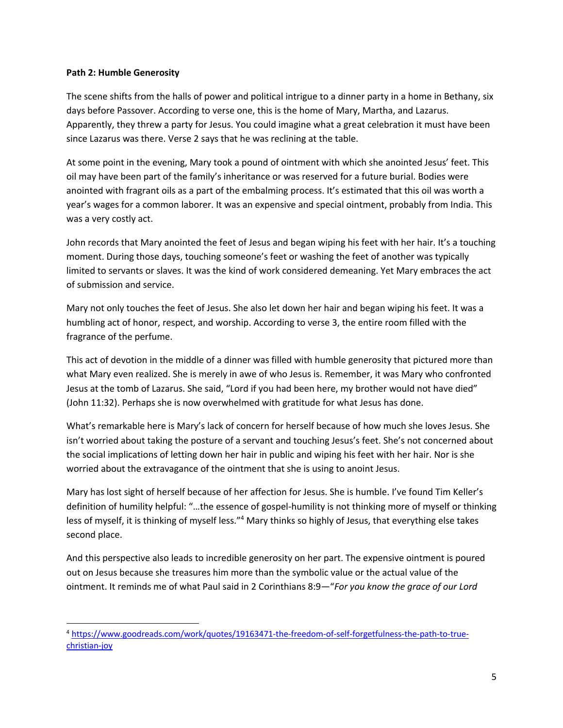## **Path 2: Humble Generosity**

The scene shifts from the halls of power and political intrigue to a dinner party in a home in Bethany, six days before Passover. According to verse one, this is the home of Mary, Martha, and Lazarus. Apparently, they threw a party for Jesus. You could imagine what a great celebration it must have been since Lazarus was there. Verse 2 says that he was reclining at the table.

At some point in the evening, Mary took a pound of ointment with which she anointed Jesus' feet. This oil may have been part of the family's inheritance or was reserved for a future burial. Bodies were anointed with fragrant oils as a part of the embalming process. It's estimated that this oil was worth a year's wages for a common laborer. It was an expensive and special ointment, probably from India. This was a very costly act.

John records that Mary anointed the feet of Jesus and began wiping his feet with her hair. It's a touching moment. During those days, touching someone's feet or washing the feet of another was typically limited to servants or slaves. It was the kind of work considered demeaning. Yet Mary embraces the act of submission and service.

Mary not only touches the feet of Jesus. She also let down her hair and began wiping his feet. It was a humbling act of honor, respect, and worship. According to verse 3, the entire room filled with the fragrance of the perfume.

This act of devotion in the middle of a dinner was filled with humble generosity that pictured more than what Mary even realized. She is merely in awe of who Jesus is. Remember, it was Mary who confronted Jesus at the tomb of Lazarus. She said, "Lord if you had been here, my brother would not have died" (John 11:32). Perhaps she is now overwhelmed with gratitude for what Jesus has done.

What's remarkable here is Mary's lack of concern for herself because of how much she loves Jesus. She isn't worried about taking the posture of a servant and touching Jesus's feet. She's not concerned about the social implications of letting down her hair in public and wiping his feet with her hair. Nor is she worried about the extravagance of the ointment that she is using to anoint Jesus.

Mary has lost sight of herself because of her affection for Jesus. She is humble. I've found Tim Keller's definition of humility helpful: "…the essence of gospel-humility is not thinking more of myself or thinking less of myself, it is thinking of myself less."<sup>4</sup> Mary thinks so highly of Jesus, that everything else takes second place.

And this perspective also leads to incredible generosity on her part. The expensive ointment is poured out on Jesus because she treasures him more than the symbolic value or the actual value of the ointment. It reminds me of what Paul said in 2 Corinthians 8:9—"*For you know the grace of our Lord* 

<sup>4</sup> https://www.goodreads.com/work/quotes/19163471-the-freedom-of-self-forgetfulness-the-path-to-truechristian-joy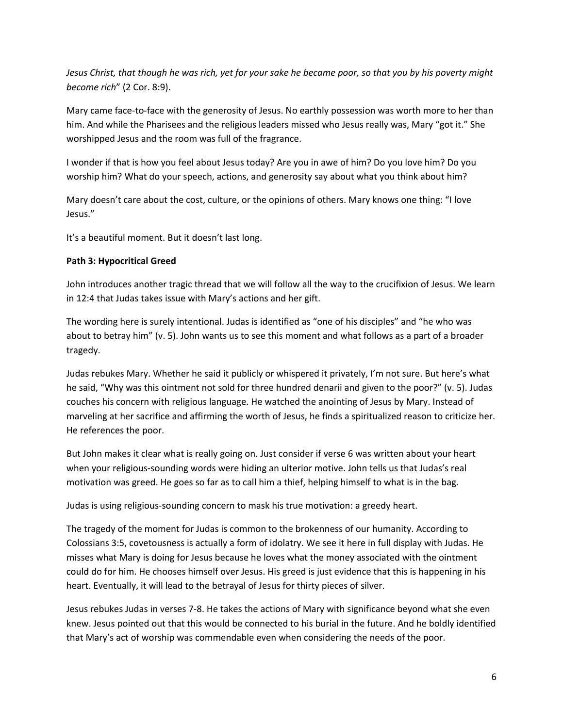*Jesus Christ, that though he was rich, yet for your sake he became poor, so that you by his poverty might become rich*" (2 Cor. 8:9).

Mary came face-to-face with the generosity of Jesus. No earthly possession was worth more to her than him. And while the Pharisees and the religious leaders missed who Jesus really was, Mary "got it." She worshipped Jesus and the room was full of the fragrance.

I wonder if that is how you feel about Jesus today? Are you in awe of him? Do you love him? Do you worship him? What do your speech, actions, and generosity say about what you think about him?

Mary doesn't care about the cost, culture, or the opinions of others. Mary knows one thing: "I love Jesus."

It's a beautiful moment. But it doesn't last long.

# **Path 3: Hypocritical Greed**

John introduces another tragic thread that we will follow all the way to the crucifixion of Jesus. We learn in 12:4 that Judas takes issue with Mary's actions and her gift.

The wording here is surely intentional. Judas is identified as "one of his disciples" and "he who was about to betray him" (v. 5). John wants us to see this moment and what follows as a part of a broader tragedy.

Judas rebukes Mary. Whether he said it publicly or whispered it privately, I'm not sure. But here's what he said, "Why was this ointment not sold for three hundred denarii and given to the poor?" (v. 5). Judas couches his concern with religious language. He watched the anointing of Jesus by Mary. Instead of marveling at her sacrifice and affirming the worth of Jesus, he finds a spiritualized reason to criticize her. He references the poor.

But John makes it clear what is really going on. Just consider if verse 6 was written about your heart when your religious-sounding words were hiding an ulterior motive. John tells us that Judas's real motivation was greed. He goes so far as to call him a thief, helping himself to what is in the bag.

Judas is using religious-sounding concern to mask his true motivation: a greedy heart.

The tragedy of the moment for Judas is common to the brokenness of our humanity. According to Colossians 3:5, covetousness is actually a form of idolatry. We see it here in full display with Judas. He misses what Mary is doing for Jesus because he loves what the money associated with the ointment could do for him. He chooses himself over Jesus. His greed is just evidence that this is happening in his heart. Eventually, it will lead to the betrayal of Jesus for thirty pieces of silver.

Jesus rebukes Judas in verses 7-8. He takes the actions of Mary with significance beyond what she even knew. Jesus pointed out that this would be connected to his burial in the future. And he boldly identified that Mary's act of worship was commendable even when considering the needs of the poor.